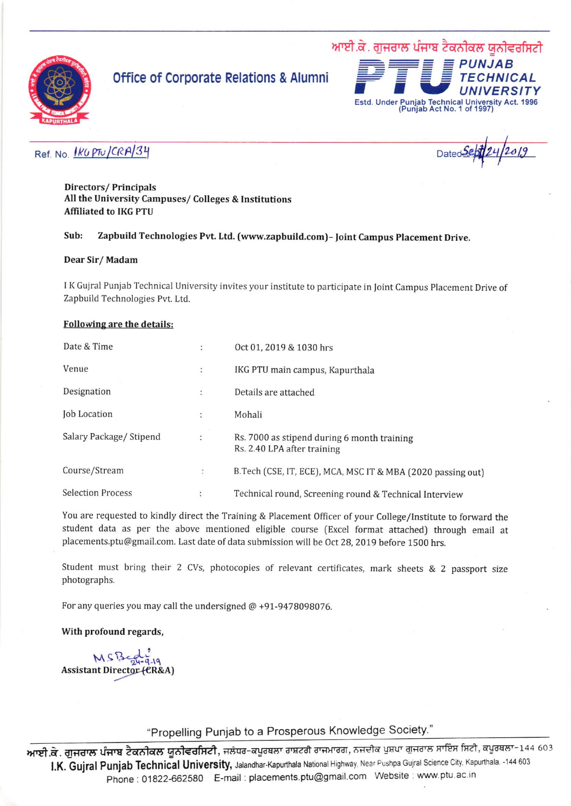

# office 0f Corporate Relations & Alumni



## Ref. No.  $\frac{fKQ}{P^{\dagger}Q}$ CRA $/3$ <sup>y</sup>

Directors/ Principals All the University Campuses/ Colleges & Institutions Affiliated to IKG PTU

### Sub: Zapbuild Technologies Pvt. Ltd. (www.zapbuild.com) - Joint Campus Placement Drive.

#### Dear Sir/ Madam

<sup>I</sup>K Gujral Punjab Technical University invites your institute to participate in loint Campus Placement Drive of Zapbuild Technologies Pvt. Ltd.

### Following are the details:

| Date & Time              | ÷              | Oct 01, 2019 & 1030 hrs                                                    |
|--------------------------|----------------|----------------------------------------------------------------------------|
| Venue                    | $\ddot{\cdot}$ | IKG PTU main campus, Kapurthala                                            |
| Designation              | ÷              | Details are attached                                                       |
| <b>Job Location</b>      | ÷              | Mohali                                                                     |
| Salary Package/ Stipend  | $\ddot{\cdot}$ | Rs. 7000 as stipend during 6 month training<br>Rs. 2.40 LPA after training |
| Course/Stream            | $\ddot{\cdot}$ | B.Tech (CSE, IT, ECE), MCA, MSC IT & MBA (2020 passing out)                |
| <b>Selection Process</b> | $\ddot{\cdot}$ | Technical round, Screening round & Technical Interview                     |

You are requested to kindly direct the Training & Placement Officer of your College/lnstitute to forward the student data as per the above mentioned eligible course (Excel format attached) through email at placements.ptu@gmail.com. Last date of data submission will be 0ct 28, 2019 before 1500 hrs.

Student must bring their 2 CVs, photocopies of relevant certificates, mark sheets & 2 passport size photographs.

For any queries you may call the undersigned @ +91-9478098076.

#### With profound regards,

MSBegr-9-19 Assistant Director (CR&A)

"Propelling Pun;ab to a Prosperous Knowledge Society."

**ਆਈ.ਕੇ. ਗੁਜਰਾਲ ਪੰਜਾਬ ਟੈਕਨੀਕਲ ਯੂਨੀਵਰਸਿਟੀ**, ਜਲੰਧਰ-ਕਪੂਰਥਲਾ ਰਾਸ਼ਟਰੀ ਰਾਜਮਾਰਗ, ਨਜਦੀਕ ਪੁਸ਼ਪਾ ਗੁਜਰਾਲ ਸਾਇਸ ਸਿਟੀ, ਕਪੂਰਥਲਾ-144 603 I.K. Gujral Punjab Technical University, Jalandhar-Kapurthala National Highway, Near Pushpa Gujral Science City. Kapurthala. -144 603 Phone: 01822-662580 E-mail: placements.ptu@gmail.com Website : www.ptu.ac.in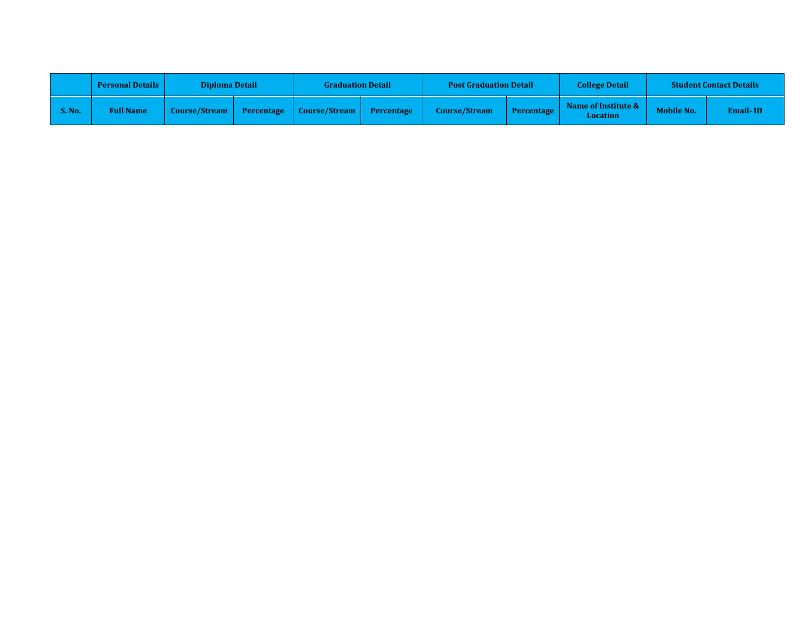|               | <b>Personal Details</b> | <b>Diploma Detail</b> |            | <b>Graduation Detail</b> |                   | <b>Post Graduation Detail</b> |            | <b>College Detail</b>                  | <b>Student Contact Details</b> |                 |
|---------------|-------------------------|-----------------------|------------|--------------------------|-------------------|-------------------------------|------------|----------------------------------------|--------------------------------|-----------------|
| <b>S. No.</b> | <b>Full Name</b>        | <b>Course/Stream</b>  | Percentage | Course/Stream            | <b>Percentage</b> | <b>Course/Stream</b>          | Percentage | Name of Institute &<br><b>Location</b> | <b>Mobile No.</b>              | <b>Email-ID</b> |